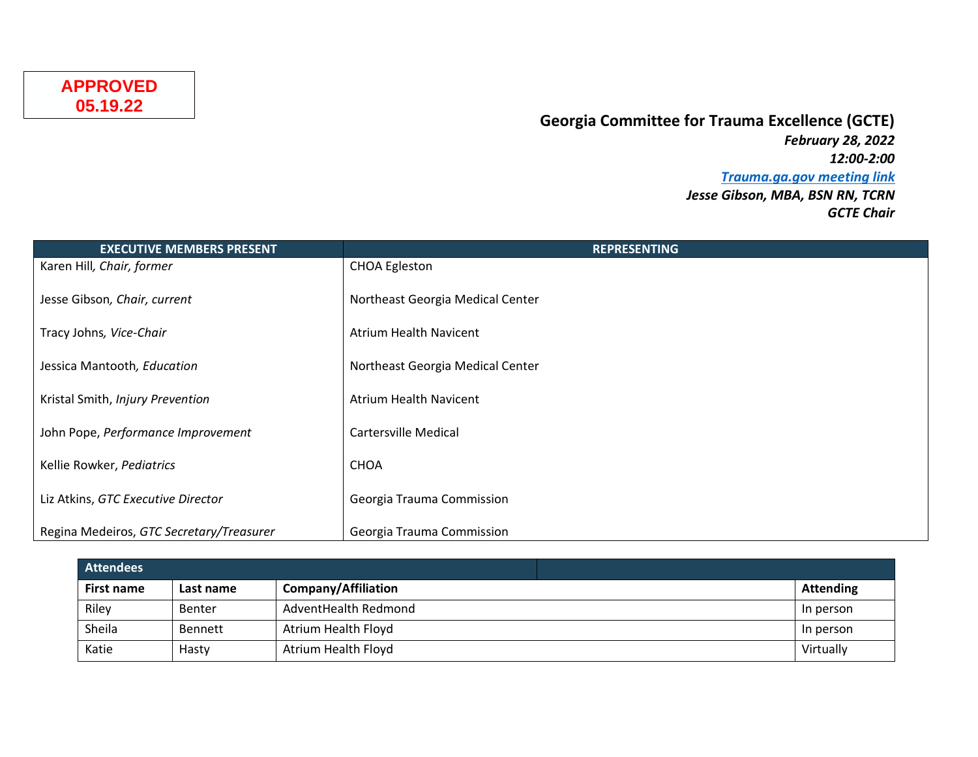## **Georgia Committee for Trauma Excellence (GCTE)**

*February 28, 2022 12:00-2:00 [Trauma.ga.gov meeting link](https://trauma.georgia.gov/events/2022-02-28/gtc-georgia-committee-trauma-excellence-gcte-meeting) Jesse Gibson, MBA, BSN RN, TCRN GCTE Chair*

| <b>EXECUTIVE MEMBERS PRESENT</b>         | <b>REPRESENTING</b>              |
|------------------------------------------|----------------------------------|
| Karen Hill, Chair, former                | <b>CHOA Egleston</b>             |
| Jesse Gibson, Chair, current             | Northeast Georgia Medical Center |
| Tracy Johns, Vice-Chair                  | <b>Atrium Health Navicent</b>    |
| Jessica Mantooth, Education              | Northeast Georgia Medical Center |
|                                          |                                  |
| Kristal Smith, Injury Prevention         | <b>Atrium Health Navicent</b>    |
| John Pope, Performance Improvement       | Cartersville Medical             |
| Kellie Rowker, Pediatrics                | <b>CHOA</b>                      |
| Liz Atkins, GTC Executive Director       | Georgia Trauma Commission        |
| Regina Medeiros, GTC Secretary/Treasurer | Georgia Trauma Commission        |

| <b>Attendees</b>  |           |                            |                  |
|-------------------|-----------|----------------------------|------------------|
| <b>First name</b> | Last name | <b>Company/Affiliation</b> | <b>Attending</b> |
| Riley             | Benter    | AdventHealth Redmond       | In person        |
| Sheila            | Bennett   | Atrium Health Floyd        | In person        |
| Katie             | Hasty     | Atrium Health Floyd        | Virtually        |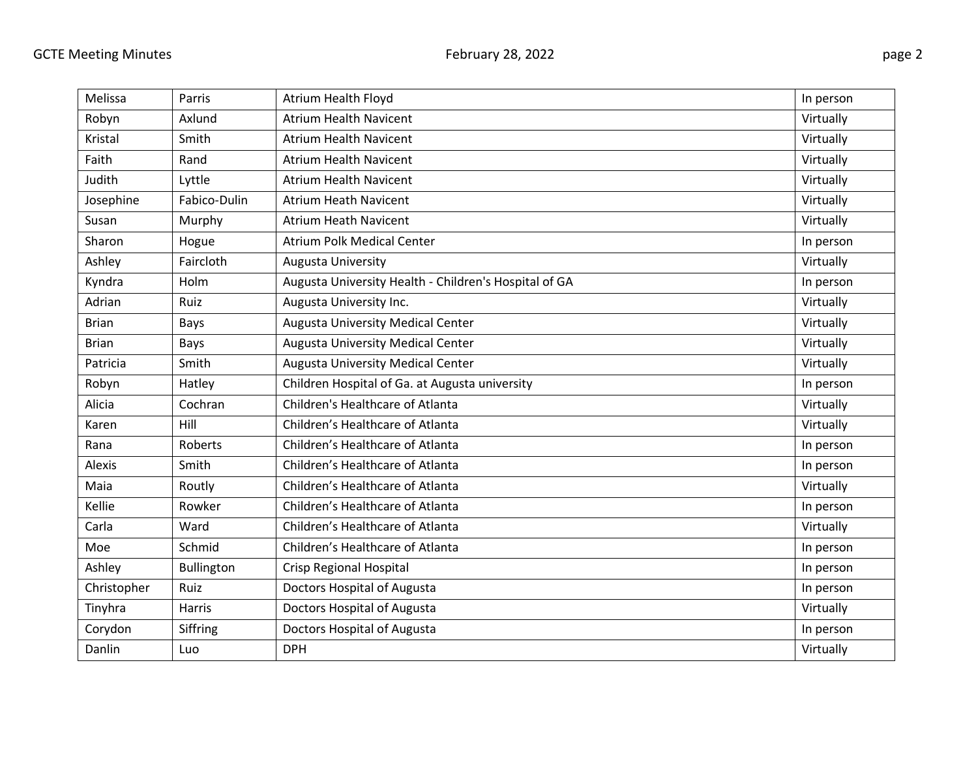| Melissa      | Parris            | <b>Atrium Health Floyd</b>                            | In person |
|--------------|-------------------|-------------------------------------------------------|-----------|
| Robyn        | Axlund            | <b>Atrium Health Navicent</b>                         | Virtually |
| Kristal      | Smith             | <b>Atrium Health Navicent</b>                         | Virtually |
| Faith        | Rand              | <b>Atrium Health Navicent</b>                         | Virtually |
| Judith       | Lyttle            | <b>Atrium Health Navicent</b>                         | Virtually |
| Josephine    | Fabico-Dulin      | <b>Atrium Heath Navicent</b>                          | Virtually |
| Susan        | Murphy            | <b>Atrium Heath Navicent</b>                          | Virtually |
| Sharon       | Hogue             | <b>Atrium Polk Medical Center</b>                     | In person |
| Ashley       | Faircloth         | Augusta University                                    | Virtually |
| Kyndra       | Holm              | Augusta University Health - Children's Hospital of GA | In person |
| Adrian       | Ruiz              | Augusta University Inc.                               | Virtually |
| <b>Brian</b> | Bays              | Augusta University Medical Center                     | Virtually |
| <b>Brian</b> | Bays              | <b>Augusta University Medical Center</b>              | Virtually |
| Patricia     | Smith             | Augusta University Medical Center                     | Virtually |
| Robyn        | Hatley            | Children Hospital of Ga. at Augusta university        | In person |
| Alicia       | Cochran           | Children's Healthcare of Atlanta                      | Virtually |
| Karen        | Hill              | Children's Healthcare of Atlanta                      | Virtually |
| Rana         | Roberts           | Children's Healthcare of Atlanta                      | In person |
| Alexis       | Smith             | Children's Healthcare of Atlanta                      | In person |
| Maia         | Routly            | Children's Healthcare of Atlanta                      | Virtually |
| Kellie       | Rowker            | Children's Healthcare of Atlanta                      | In person |
| Carla        | Ward              | Children's Healthcare of Atlanta                      | Virtually |
| Moe          | Schmid            | Children's Healthcare of Atlanta                      | In person |
| Ashley       | <b>Bullington</b> | Crisp Regional Hospital                               | In person |
| Christopher  | Ruiz              | Doctors Hospital of Augusta                           | In person |
| Tinyhra      | Harris            | Doctors Hospital of Augusta                           | Virtually |
| Corydon      | Siffring          | Doctors Hospital of Augusta                           | In person |
| Danlin       | Luo               | <b>DPH</b>                                            | Virtually |
|              |                   |                                                       |           |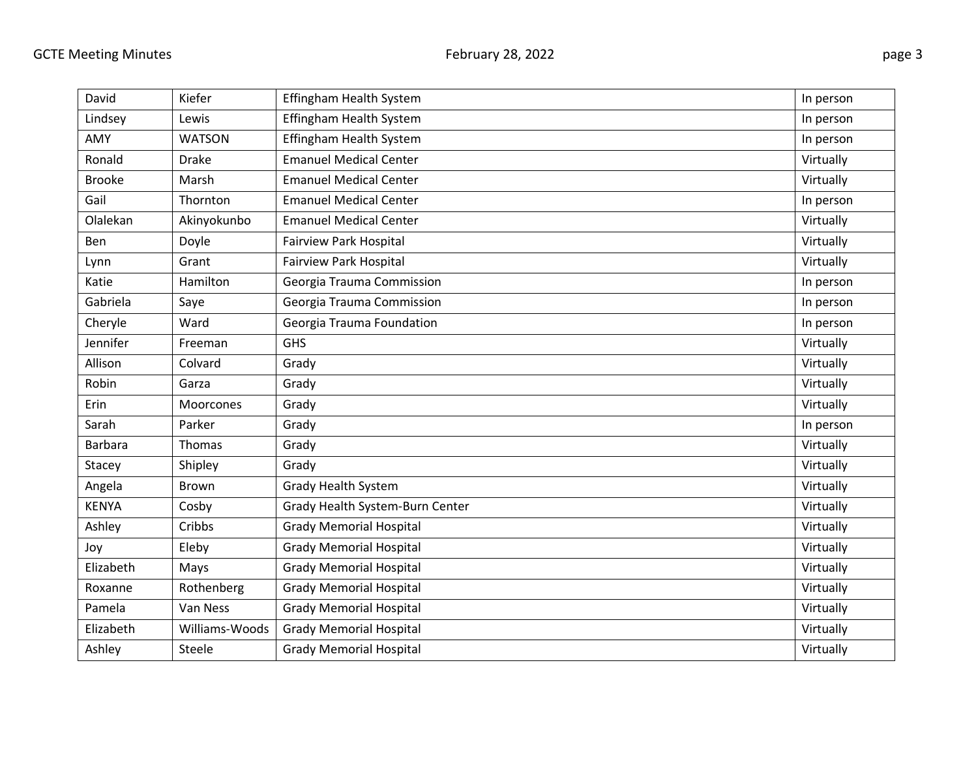| David          | Kiefer         | Effingham Health System         | In person |
|----------------|----------------|---------------------------------|-----------|
| Lindsey        | Lewis          | Effingham Health System         | In person |
| AMY            | <b>WATSON</b>  | Effingham Health System         | In person |
| Ronald         | <b>Drake</b>   | <b>Emanuel Medical Center</b>   | Virtually |
| <b>Brooke</b>  | Marsh          | <b>Emanuel Medical Center</b>   | Virtually |
| Gail           | Thornton       | <b>Emanuel Medical Center</b>   | In person |
| Olalekan       | Akinyokunbo    | <b>Emanuel Medical Center</b>   | Virtually |
| Ben            | Doyle          | <b>Fairview Park Hospital</b>   | Virtually |
| Lynn           | Grant          | Fairview Park Hospital          | Virtually |
| Katie          | Hamilton       | Georgia Trauma Commission       | In person |
| Gabriela       | Saye           | Georgia Trauma Commission       | In person |
| Cheryle        | Ward           | Georgia Trauma Foundation       | In person |
| Jennifer       | Freeman        | GHS                             | Virtually |
| Allison        | Colvard        | Grady                           | Virtually |
| Robin          | Garza          | Grady                           | Virtually |
| Erin           | Moorcones      | Grady                           | Virtually |
| Sarah          | Parker         | Grady                           | In person |
| <b>Barbara</b> | Thomas         | Grady                           | Virtually |
| Stacey         | Shipley        | Grady                           | Virtually |
| Angela         | <b>Brown</b>   | <b>Grady Health System</b>      | Virtually |
| <b>KENYA</b>   | Cosby          | Grady Health System-Burn Center | Virtually |
| Ashley         | Cribbs         | <b>Grady Memorial Hospital</b>  | Virtually |
| Joy            | Eleby          | <b>Grady Memorial Hospital</b>  | Virtually |
| Elizabeth      | Mays           | <b>Grady Memorial Hospital</b>  | Virtually |
| Roxanne        | Rothenberg     | <b>Grady Memorial Hospital</b>  | Virtually |
| Pamela         | Van Ness       | <b>Grady Memorial Hospital</b>  | Virtually |
| Elizabeth      | Williams-Woods | <b>Grady Memorial Hospital</b>  | Virtually |
| Ashley         | Steele         | <b>Grady Memorial Hospital</b>  | Virtually |
|                |                |                                 |           |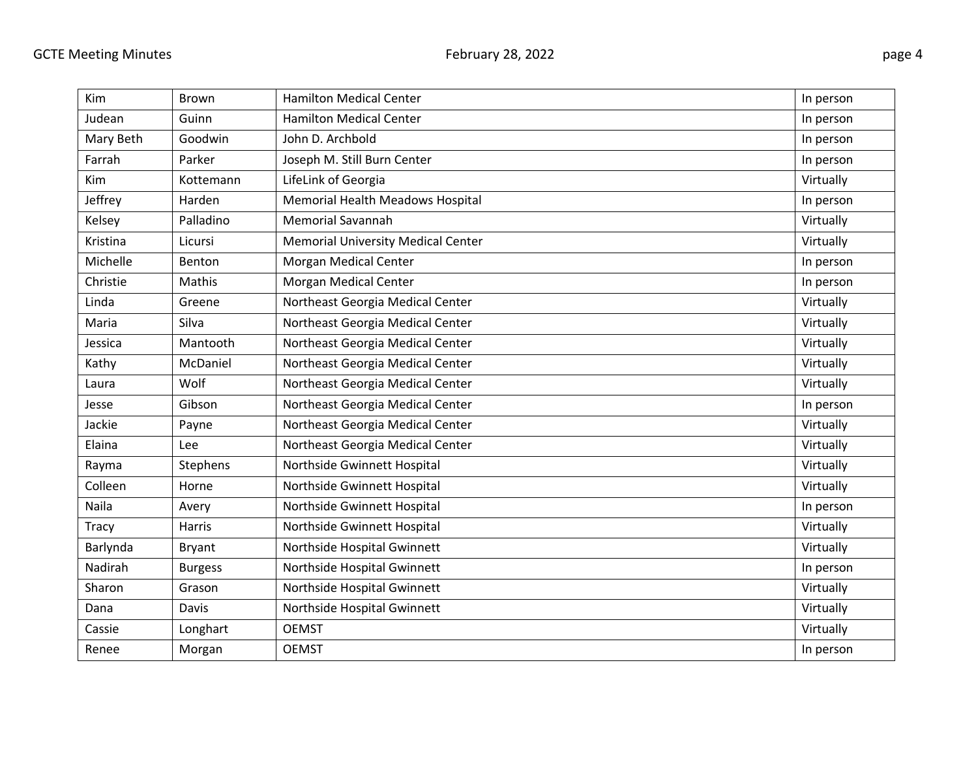| <b>Kim</b> | Brown          | <b>Hamilton Medical Center</b>            | In person |
|------------|----------------|-------------------------------------------|-----------|
| Judean     | Guinn          | <b>Hamilton Medical Center</b>            | In person |
| Mary Beth  | Goodwin        | John D. Archbold                          | In person |
| Farrah     | Parker         | Joseph M. Still Burn Center               | In person |
| Kim        | Kottemann      | LifeLink of Georgia                       | Virtually |
| Jeffrey    | Harden         | Memorial Health Meadows Hospital          | In person |
| Kelsey     | Palladino      | <b>Memorial Savannah</b>                  | Virtually |
| Kristina   | Licursi        | <b>Memorial University Medical Center</b> | Virtually |
| Michelle   | Benton         | Morgan Medical Center                     | In person |
| Christie   | <b>Mathis</b>  | <b>Morgan Medical Center</b>              | In person |
| Linda      | Greene         | Northeast Georgia Medical Center          | Virtually |
| Maria      | Silva          | Northeast Georgia Medical Center          | Virtually |
| Jessica    | Mantooth       | Northeast Georgia Medical Center          | Virtually |
| Kathy      | McDaniel       | Northeast Georgia Medical Center          | Virtually |
| Laura      | Wolf           | Northeast Georgia Medical Center          | Virtually |
| Jesse      | Gibson         | Northeast Georgia Medical Center          | In person |
| Jackie     | Payne          | Northeast Georgia Medical Center          | Virtually |
| Elaina     | Lee            | Northeast Georgia Medical Center          | Virtually |
| Rayma      | Stephens       | Northside Gwinnett Hospital               | Virtually |
| Colleen    | Horne          | Northside Gwinnett Hospital               | Virtually |
| Naila      | Avery          | Northside Gwinnett Hospital               | In person |
| Tracy      | Harris         | Northside Gwinnett Hospital               | Virtually |
| Barlynda   | <b>Bryant</b>  | Northside Hospital Gwinnett               | Virtually |
| Nadirah    | <b>Burgess</b> | Northside Hospital Gwinnett               | In person |
| Sharon     | Grason         | Northside Hospital Gwinnett               | Virtually |
| Dana       | Davis          | Northside Hospital Gwinnett               | Virtually |
| Cassie     | Longhart       | <b>OEMST</b>                              | Virtually |
| Renee      | Morgan         | <b>OEMST</b>                              | In person |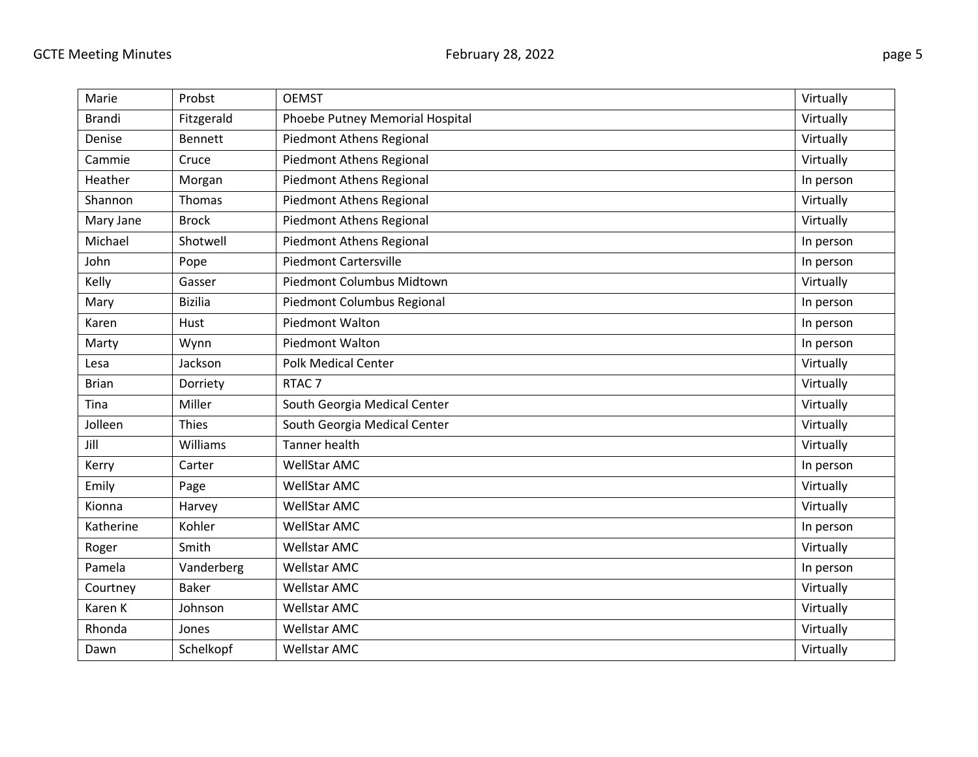| Marie         | Probst          | <b>OEMST</b>                    | Virtually |
|---------------|-----------------|---------------------------------|-----------|
| <b>Brandi</b> | Fitzgerald      | Phoebe Putney Memorial Hospital | Virtually |
| Denise        | <b>Bennett</b>  | Piedmont Athens Regional        | Virtually |
| Cammie        | Cruce           | Piedmont Athens Regional        | Virtually |
| Heather       | Morgan          | Piedmont Athens Regional        | In person |
| Shannon       | Thomas          | Piedmont Athens Regional        | Virtually |
| Mary Jane     | <b>Brock</b>    | Piedmont Athens Regional        | Virtually |
| Michael       | Shotwell        | <b>Piedmont Athens Regional</b> | In person |
| John          | Pope            | <b>Piedmont Cartersville</b>    | In person |
| Kelly         | Gasser          | Piedmont Columbus Midtown       | Virtually |
| Mary          | <b>Bizilia</b>  | Piedmont Columbus Regional      | In person |
| Karen         | Hust            | <b>Piedmont Walton</b>          | In person |
| Marty         | Wynn            | Piedmont Walton                 | In person |
| Lesa          | Jackson         | <b>Polk Medical Center</b>      | Virtually |
| <b>Brian</b>  | Dorriety        | RTAC <sub>7</sub>               | Virtually |
| Tina          | Miller          | South Georgia Medical Center    | Virtually |
| Jolleen       | <b>Thies</b>    | South Georgia Medical Center    | Virtually |
| Jill          | <b>Williams</b> | <b>Tanner health</b>            | Virtually |
| Kerry         | Carter          | <b>WellStar AMC</b>             | In person |
| Emily         | Page            | <b>WellStar AMC</b>             | Virtually |
| Kionna        | Harvey          | <b>WellStar AMC</b>             | Virtually |
| Katherine     | Kohler          | <b>WellStar AMC</b>             | In person |
| Roger         | Smith           | <b>Wellstar AMC</b>             | Virtually |
| Pamela        | Vanderberg      | <b>Wellstar AMC</b>             | In person |
| Courtney      | <b>Baker</b>    | Wellstar AMC                    | Virtually |
| Karen K       | Johnson         | <b>Wellstar AMC</b>             | Virtually |
| Rhonda        | Jones           | <b>Wellstar AMC</b>             | Virtually |
| Dawn          | Schelkopf       | <b>Wellstar AMC</b>             | Virtually |
|               |                 |                                 |           |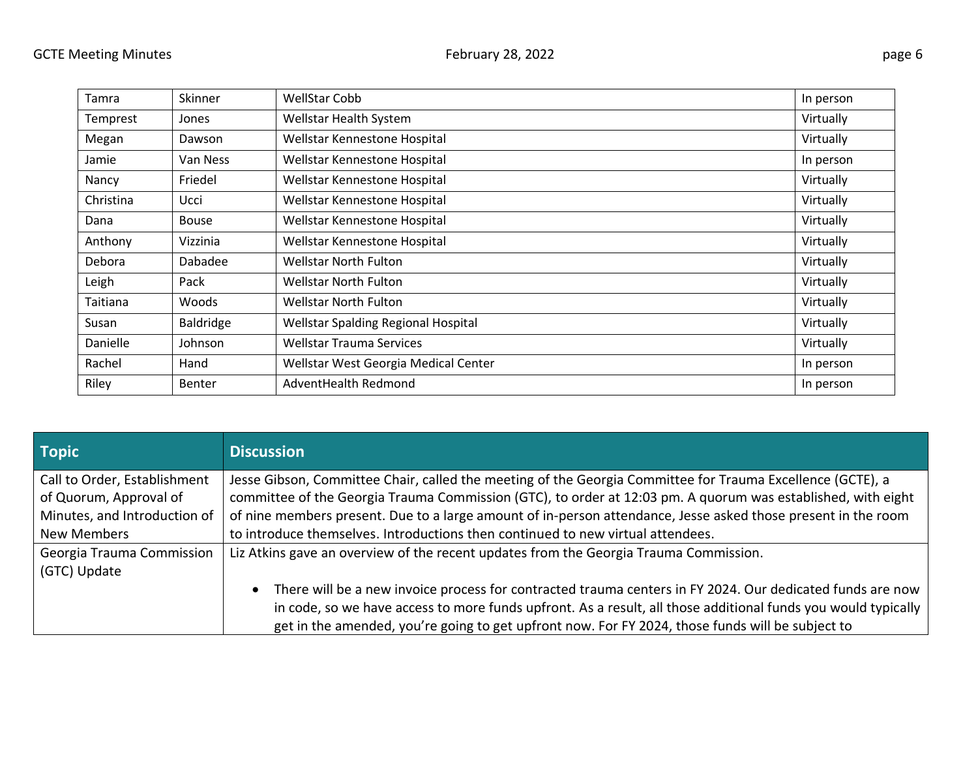| Tamra     | Skinner       | <b>WellStar Cobb</b>                 | In person |
|-----------|---------------|--------------------------------------|-----------|
| Temprest  | Jones         | Wellstar Health System               | Virtually |
| Megan     | Dawson        | Wellstar Kennestone Hospital         | Virtually |
| Jamie     | Van Ness      | Wellstar Kennestone Hospital         | In person |
| Nancy     | Friedel       | Wellstar Kennestone Hospital         | Virtually |
| Christina | Ucci          | Wellstar Kennestone Hospital         | Virtually |
| Dana      | <b>Bouse</b>  | Wellstar Kennestone Hospital         | Virtually |
| Anthony   | Vizzinia      | Wellstar Kennestone Hospital         | Virtually |
| Debora    | Dabadee       | <b>Wellstar North Fulton</b>         | Virtually |
| Leigh     | Pack          | <b>Wellstar North Fulton</b>         | Virtually |
| Taitiana  | Woods         | <b>Wellstar North Fulton</b>         | Virtually |
| Susan     | Baldridge     | Wellstar Spalding Regional Hospital  | Virtually |
| Danielle  | Johnson       | <b>Wellstar Trauma Services</b>      | Virtually |
| Rachel    | Hand          | Wellstar West Georgia Medical Center | In person |
| Riley     | <b>Benter</b> | AdventHealth Redmond                 | In person |

| <b>Topic</b>                 | <b>Discussion</b>                                                                                                      |
|------------------------------|------------------------------------------------------------------------------------------------------------------------|
| Call to Order, Establishment | Jesse Gibson, Committee Chair, called the meeting of the Georgia Committee for Trauma Excellence (GCTE), a             |
| of Quorum, Approval of       | committee of the Georgia Trauma Commission (GTC), to order at 12:03 pm. A quorum was established, with eight           |
| Minutes, and Introduction of | of nine members present. Due to a large amount of in-person attendance, Jesse asked those present in the room          |
| New Members                  | to introduce themselves. Introductions then continued to new virtual attendees.                                        |
| Georgia Trauma Commission    | Liz Atkins gave an overview of the recent updates from the Georgia Trauma Commission.                                  |
| (GTC) Update                 |                                                                                                                        |
|                              | There will be a new invoice process for contracted trauma centers in FY 2024. Our dedicated funds are now<br>$\bullet$ |
|                              | in code, so we have access to more funds upfront. As a result, all those additional funds you would typically          |
|                              | get in the amended, you're going to get upfront now. For FY 2024, those funds will be subject to                       |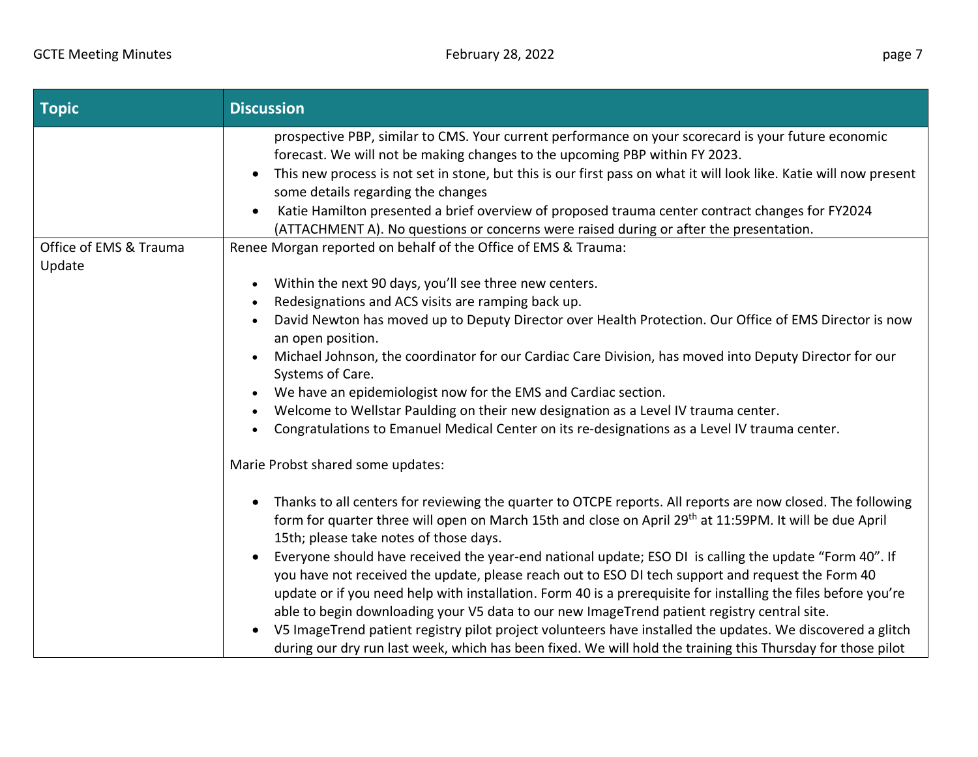| <b>Topic</b>                     | <b>Discussion</b>                                                                                                                                                                                                                                                                         |
|----------------------------------|-------------------------------------------------------------------------------------------------------------------------------------------------------------------------------------------------------------------------------------------------------------------------------------------|
|                                  | prospective PBP, similar to CMS. Your current performance on your scorecard is your future economic<br>forecast. We will not be making changes to the upcoming PBP within FY 2023.                                                                                                        |
|                                  | This new process is not set in stone, but this is our first pass on what it will look like. Katie will now present<br>$\bullet$<br>some details regarding the changes                                                                                                                     |
|                                  | Katie Hamilton presented a brief overview of proposed trauma center contract changes for FY2024<br>$\bullet$<br>(ATTACHMENT A). No questions or concerns were raised during or after the presentation.                                                                                    |
| Office of EMS & Trauma<br>Update | Renee Morgan reported on behalf of the Office of EMS & Trauma:                                                                                                                                                                                                                            |
|                                  | Within the next 90 days, you'll see three new centers.<br>$\bullet$                                                                                                                                                                                                                       |
|                                  | Redesignations and ACS visits are ramping back up.<br>$\bullet$                                                                                                                                                                                                                           |
|                                  | David Newton has moved up to Deputy Director over Health Protection. Our Office of EMS Director is now<br>an open position.                                                                                                                                                               |
|                                  | Michael Johnson, the coordinator for our Cardiac Care Division, has moved into Deputy Director for our<br>Systems of Care.                                                                                                                                                                |
|                                  | We have an epidemiologist now for the EMS and Cardiac section.                                                                                                                                                                                                                            |
|                                  | Welcome to Wellstar Paulding on their new designation as a Level IV trauma center.                                                                                                                                                                                                        |
|                                  | Congratulations to Emanuel Medical Center on its re-designations as a Level IV trauma center.<br>$\bullet$                                                                                                                                                                                |
|                                  | Marie Probst shared some updates:                                                                                                                                                                                                                                                         |
|                                  | Thanks to all centers for reviewing the quarter to OTCPE reports. All reports are now closed. The following<br>$\bullet$<br>form for quarter three will open on March 15th and close on April 29 <sup>th</sup> at 11:59PM. It will be due April<br>15th; please take notes of those days. |
|                                  | Everyone should have received the year-end national update; ESO DI is calling the update "Form 40". If<br>you have not received the update, please reach out to ESO DI tech support and request the Form 40                                                                               |
|                                  | update or if you need help with installation. Form 40 is a prerequisite for installing the files before you're<br>able to begin downloading your V5 data to our new ImageTrend patient registry central site.                                                                             |
|                                  | V5 ImageTrend patient registry pilot project volunteers have installed the updates. We discovered a glitch<br>$\bullet$<br>during our dry run last week, which has been fixed. We will hold the training this Thursday for those pilot                                                    |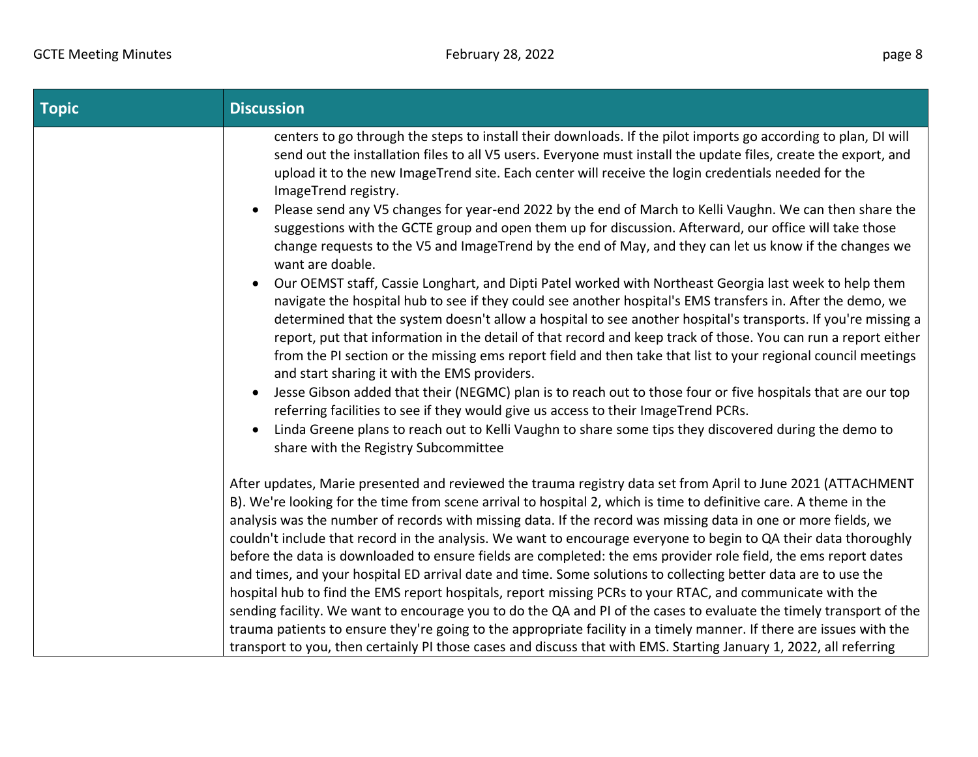| <b>Topic</b> | <b>Discussion</b>                                                                                                                                                                                                                                                                                                                                                                                                                                                                                                                                                                                                                                                                                                                                                                                                                                                                                                                                                                                                                                                        |
|--------------|--------------------------------------------------------------------------------------------------------------------------------------------------------------------------------------------------------------------------------------------------------------------------------------------------------------------------------------------------------------------------------------------------------------------------------------------------------------------------------------------------------------------------------------------------------------------------------------------------------------------------------------------------------------------------------------------------------------------------------------------------------------------------------------------------------------------------------------------------------------------------------------------------------------------------------------------------------------------------------------------------------------------------------------------------------------------------|
|              | centers to go through the steps to install their downloads. If the pilot imports go according to plan, DI will<br>send out the installation files to all V5 users. Everyone must install the update files, create the export, and<br>upload it to the new ImageTrend site. Each center will receive the login credentials needed for the<br>ImageTrend registry.                                                                                                                                                                                                                                                                                                                                                                                                                                                                                                                                                                                                                                                                                                         |
|              | Please send any V5 changes for year-end 2022 by the end of March to Kelli Vaughn. We can then share the<br>$\bullet$<br>suggestions with the GCTE group and open them up for discussion. Afterward, our office will take those<br>change requests to the V5 and ImageTrend by the end of May, and they can let us know if the changes we<br>want are doable.                                                                                                                                                                                                                                                                                                                                                                                                                                                                                                                                                                                                                                                                                                             |
|              | Our OEMST staff, Cassie Longhart, and Dipti Patel worked with Northeast Georgia last week to help them<br>navigate the hospital hub to see if they could see another hospital's EMS transfers in. After the demo, we<br>determined that the system doesn't allow a hospital to see another hospital's transports. If you're missing a<br>report, put that information in the detail of that record and keep track of those. You can run a report either<br>from the PI section or the missing ems report field and then take that list to your regional council meetings                                                                                                                                                                                                                                                                                                                                                                                                                                                                                                 |
|              | and start sharing it with the EMS providers.<br>Jesse Gibson added that their (NEGMC) plan is to reach out to those four or five hospitals that are our top<br>$\bullet$<br>referring facilities to see if they would give us access to their ImageTrend PCRs.<br>Linda Greene plans to reach out to Kelli Vaughn to share some tips they discovered during the demo to<br>$\bullet$<br>share with the Registry Subcommittee                                                                                                                                                                                                                                                                                                                                                                                                                                                                                                                                                                                                                                             |
|              | After updates, Marie presented and reviewed the trauma registry data set from April to June 2021 (ATTACHMENT<br>B). We're looking for the time from scene arrival to hospital 2, which is time to definitive care. A theme in the<br>analysis was the number of records with missing data. If the record was missing data in one or more fields, we<br>couldn't include that record in the analysis. We want to encourage everyone to begin to QA their data thoroughly<br>before the data is downloaded to ensure fields are completed: the ems provider role field, the ems report dates<br>and times, and your hospital ED arrival date and time. Some solutions to collecting better data are to use the<br>hospital hub to find the EMS report hospitals, report missing PCRs to your RTAC, and communicate with the<br>sending facility. We want to encourage you to do the QA and PI of the cases to evaluate the timely transport of the<br>trauma patients to ensure they're going to the appropriate facility in a timely manner. If there are issues with the |
|              | transport to you, then certainly PI those cases and discuss that with EMS. Starting January 1, 2022, all referring                                                                                                                                                                                                                                                                                                                                                                                                                                                                                                                                                                                                                                                                                                                                                                                                                                                                                                                                                       |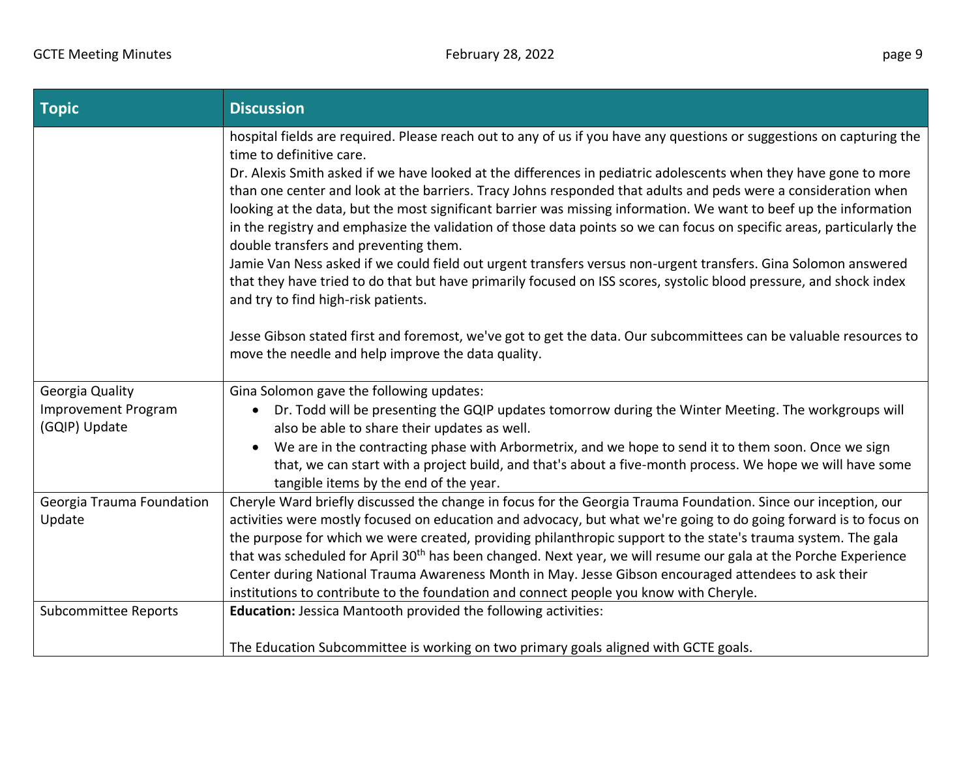| <b>Topic</b>                                            | <b>Discussion</b>                                                                                                                                                                                                                                                                                                                                                                                                                                                                                                                                                                                                                                                                                                                                                                                                                                                                                                                                                                                                                                                                                                                        |
|---------------------------------------------------------|------------------------------------------------------------------------------------------------------------------------------------------------------------------------------------------------------------------------------------------------------------------------------------------------------------------------------------------------------------------------------------------------------------------------------------------------------------------------------------------------------------------------------------------------------------------------------------------------------------------------------------------------------------------------------------------------------------------------------------------------------------------------------------------------------------------------------------------------------------------------------------------------------------------------------------------------------------------------------------------------------------------------------------------------------------------------------------------------------------------------------------------|
|                                                         | hospital fields are required. Please reach out to any of us if you have any questions or suggestions on capturing the<br>time to definitive care.<br>Dr. Alexis Smith asked if we have looked at the differences in pediatric adolescents when they have gone to more<br>than one center and look at the barriers. Tracy Johns responded that adults and peds were a consideration when<br>looking at the data, but the most significant barrier was missing information. We want to beef up the information<br>in the registry and emphasize the validation of those data points so we can focus on specific areas, particularly the<br>double transfers and preventing them.<br>Jamie Van Ness asked if we could field out urgent transfers versus non-urgent transfers. Gina Solomon answered<br>that they have tried to do that but have primarily focused on ISS scores, systolic blood pressure, and shock index<br>and try to find high-risk patients.<br>Jesse Gibson stated first and foremost, we've got to get the data. Our subcommittees can be valuable resources to<br>move the needle and help improve the data quality. |
| Georgia Quality<br>Improvement Program<br>(GQIP) Update | Gina Solomon gave the following updates:<br>Dr. Todd will be presenting the GQIP updates tomorrow during the Winter Meeting. The workgroups will<br>$\bullet$<br>also be able to share their updates as well.<br>We are in the contracting phase with Arbormetrix, and we hope to send it to them soon. Once we sign<br>$\bullet$<br>that, we can start with a project build, and that's about a five-month process. We hope we will have some<br>tangible items by the end of the year.                                                                                                                                                                                                                                                                                                                                                                                                                                                                                                                                                                                                                                                 |
| Georgia Trauma Foundation<br>Update                     | Cheryle Ward briefly discussed the change in focus for the Georgia Trauma Foundation. Since our inception, our<br>activities were mostly focused on education and advocacy, but what we're going to do going forward is to focus on<br>the purpose for which we were created, providing philanthropic support to the state's trauma system. The gala<br>that was scheduled for April 30 <sup>th</sup> has been changed. Next year, we will resume our gala at the Porche Experience<br>Center during National Trauma Awareness Month in May. Jesse Gibson encouraged attendees to ask their<br>institutions to contribute to the foundation and connect people you know with Cheryle.                                                                                                                                                                                                                                                                                                                                                                                                                                                    |
| <b>Subcommittee Reports</b>                             | Education: Jessica Mantooth provided the following activities:<br>The Education Subcommittee is working on two primary goals aligned with GCTE goals.                                                                                                                                                                                                                                                                                                                                                                                                                                                                                                                                                                                                                                                                                                                                                                                                                                                                                                                                                                                    |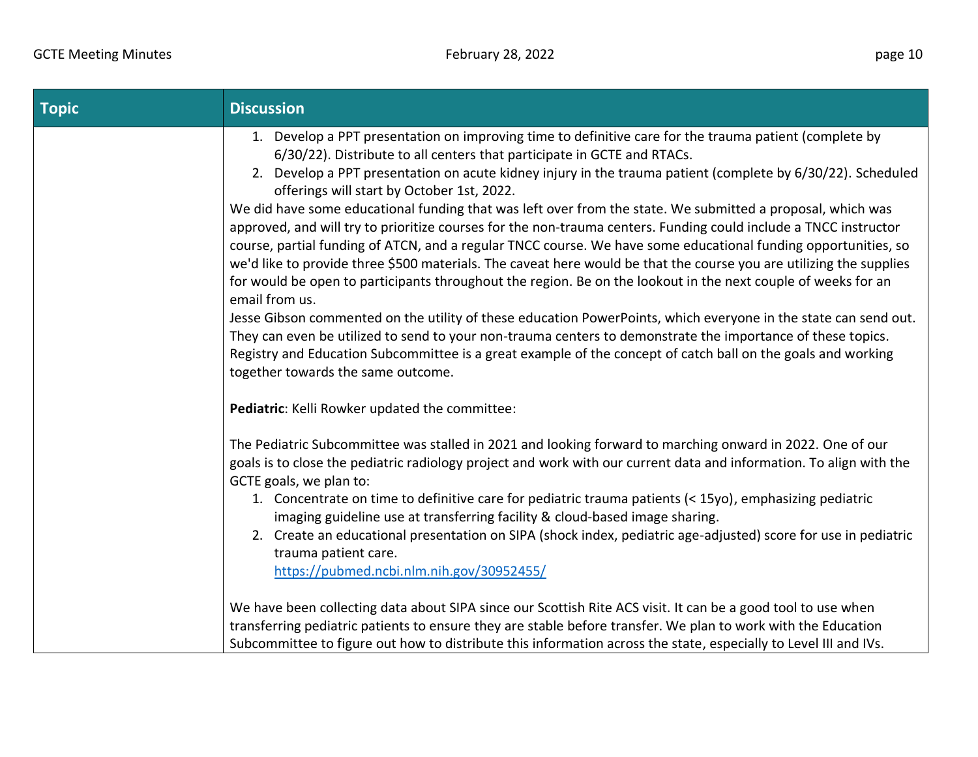| <b>Topic</b> | <b>Discussion</b>                                                                                                                                                                                                                     |
|--------------|---------------------------------------------------------------------------------------------------------------------------------------------------------------------------------------------------------------------------------------|
|              | 1. Develop a PPT presentation on improving time to definitive care for the trauma patient (complete by                                                                                                                                |
|              | 6/30/22). Distribute to all centers that participate in GCTE and RTACs.<br>2. Develop a PPT presentation on acute kidney injury in the trauma patient (complete by 6/30/22). Scheduled                                                |
|              | offerings will start by October 1st, 2022.                                                                                                                                                                                            |
|              | We did have some educational funding that was left over from the state. We submitted a proposal, which was                                                                                                                            |
|              | approved, and will try to prioritize courses for the non-trauma centers. Funding could include a TNCC instructor                                                                                                                      |
|              | course, partial funding of ATCN, and a regular TNCC course. We have some educational funding opportunities, so<br>we'd like to provide three \$500 materials. The caveat here would be that the course you are utilizing the supplies |
|              | for would be open to participants throughout the region. Be on the lookout in the next couple of weeks for an                                                                                                                         |
|              | email from us.                                                                                                                                                                                                                        |
|              | Jesse Gibson commented on the utility of these education PowerPoints, which everyone in the state can send out.                                                                                                                       |
|              | They can even be utilized to send to your non-trauma centers to demonstrate the importance of these topics.                                                                                                                           |
|              | Registry and Education Subcommittee is a great example of the concept of catch ball on the goals and working<br>together towards the same outcome.                                                                                    |
|              |                                                                                                                                                                                                                                       |
|              | Pediatric: Kelli Rowker updated the committee:                                                                                                                                                                                        |
|              | The Pediatric Subcommittee was stalled in 2021 and looking forward to marching onward in 2022. One of our                                                                                                                             |
|              | goals is to close the pediatric radiology project and work with our current data and information. To align with the                                                                                                                   |
|              | GCTE goals, we plan to:                                                                                                                                                                                                               |
|              | 1. Concentrate on time to definitive care for pediatric trauma patients (< 15yo), emphasizing pediatric                                                                                                                               |
|              | imaging guideline use at transferring facility & cloud-based image sharing.<br>2. Create an educational presentation on SIPA (shock index, pediatric age-adjusted) score for use in pediatric                                         |
|              | trauma patient care.                                                                                                                                                                                                                  |
|              | https://pubmed.ncbi.nlm.nih.gov/30952455/                                                                                                                                                                                             |
|              |                                                                                                                                                                                                                                       |
|              | We have been collecting data about SIPA since our Scottish Rite ACS visit. It can be a good tool to use when                                                                                                                          |
|              | transferring pediatric patients to ensure they are stable before transfer. We plan to work with the Education                                                                                                                         |
|              | Subcommittee to figure out how to distribute this information across the state, especially to Level III and IVs.                                                                                                                      |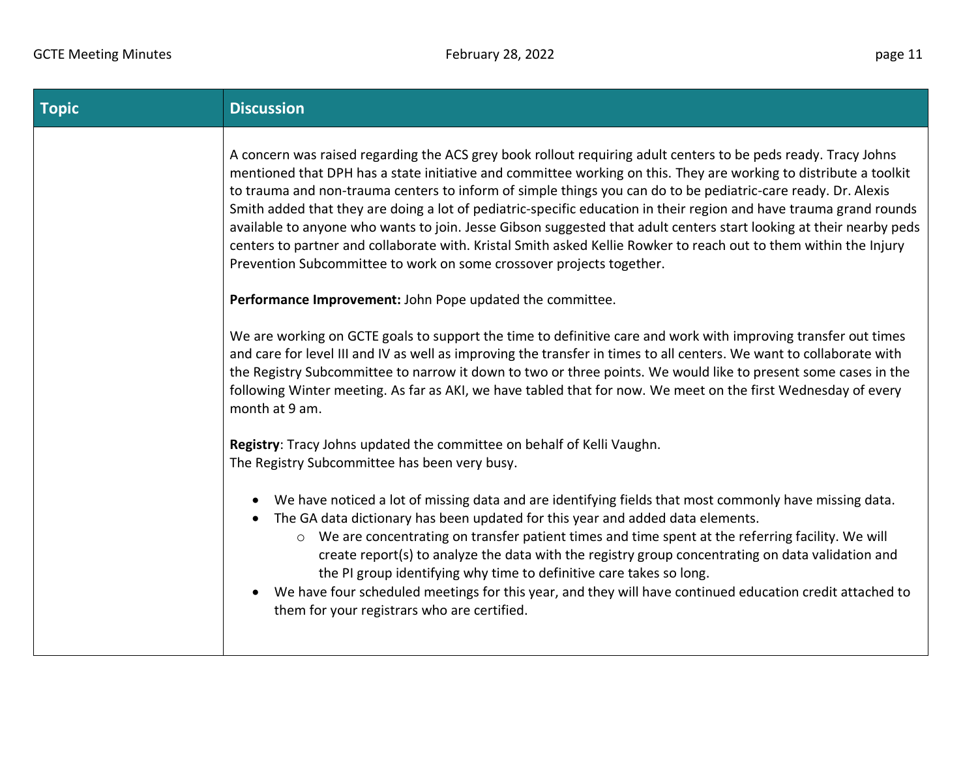| <b>Topic</b> | <b>Discussion</b>                                                                                                                                                                                                                                                                                                                                                                                                                                                                                                                                                                                                                                                                                                                                                                                                                                           |
|--------------|-------------------------------------------------------------------------------------------------------------------------------------------------------------------------------------------------------------------------------------------------------------------------------------------------------------------------------------------------------------------------------------------------------------------------------------------------------------------------------------------------------------------------------------------------------------------------------------------------------------------------------------------------------------------------------------------------------------------------------------------------------------------------------------------------------------------------------------------------------------|
|              | A concern was raised regarding the ACS grey book rollout requiring adult centers to be peds ready. Tracy Johns<br>mentioned that DPH has a state initiative and committee working on this. They are working to distribute a toolkit<br>to trauma and non-trauma centers to inform of simple things you can do to be pediatric-care ready. Dr. Alexis<br>Smith added that they are doing a lot of pediatric-specific education in their region and have trauma grand rounds<br>available to anyone who wants to join. Jesse Gibson suggested that adult centers start looking at their nearby peds<br>centers to partner and collaborate with. Kristal Smith asked Kellie Rowker to reach out to them within the Injury<br>Prevention Subcommittee to work on some crossover projects together.<br>Performance Improvement: John Pope updated the committee. |
|              | We are working on GCTE goals to support the time to definitive care and work with improving transfer out times<br>and care for level III and IV as well as improving the transfer in times to all centers. We want to collaborate with<br>the Registry Subcommittee to narrow it down to two or three points. We would like to present some cases in the<br>following Winter meeting. As far as AKI, we have tabled that for now. We meet on the first Wednesday of every<br>month at 9 am.                                                                                                                                                                                                                                                                                                                                                                 |
|              | Registry: Tracy Johns updated the committee on behalf of Kelli Vaughn.<br>The Registry Subcommittee has been very busy.                                                                                                                                                                                                                                                                                                                                                                                                                                                                                                                                                                                                                                                                                                                                     |
|              | We have noticed a lot of missing data and are identifying fields that most commonly have missing data.<br>$\bullet$<br>The GA data dictionary has been updated for this year and added data elements.<br>$\bullet$<br>o We are concentrating on transfer patient times and time spent at the referring facility. We will<br>create report(s) to analyze the data with the registry group concentrating on data validation and<br>the PI group identifying why time to definitive care takes so long.<br>We have four scheduled meetings for this year, and they will have continued education credit attached to<br>them for your registrars who are certified.                                                                                                                                                                                             |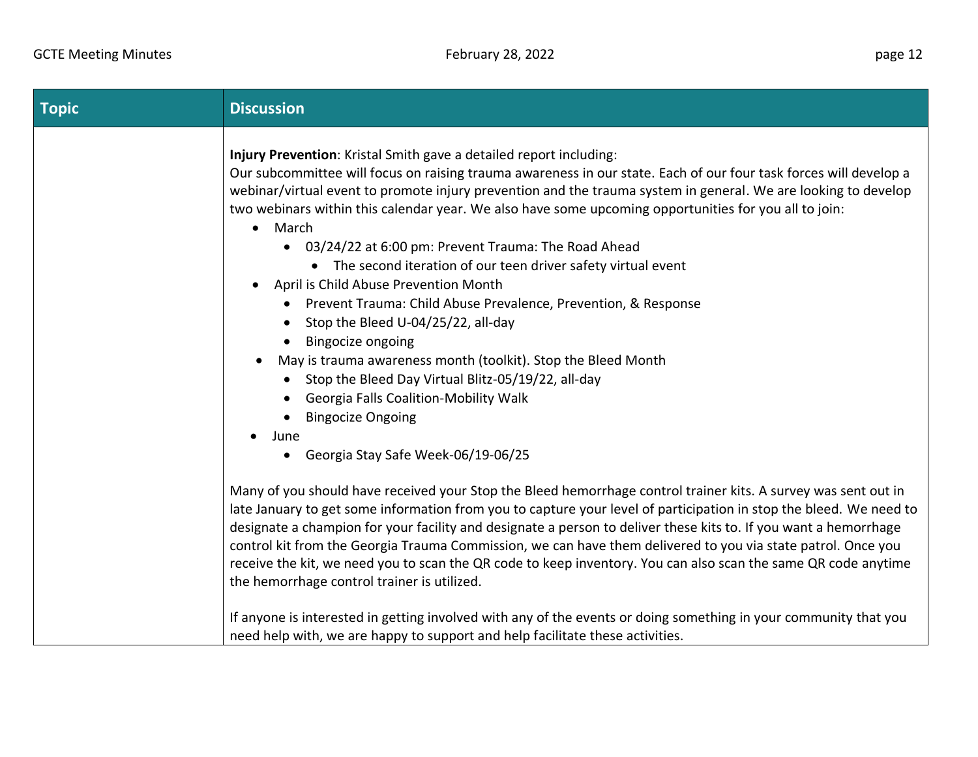| <b>Topic</b> | <b>Discussion</b>                                                                                                                                                                                                                                                                                                                                                                                                                                                                                                                                                                                                                                                                                                                                                                                                                                                                                                                                                                          |
|--------------|--------------------------------------------------------------------------------------------------------------------------------------------------------------------------------------------------------------------------------------------------------------------------------------------------------------------------------------------------------------------------------------------------------------------------------------------------------------------------------------------------------------------------------------------------------------------------------------------------------------------------------------------------------------------------------------------------------------------------------------------------------------------------------------------------------------------------------------------------------------------------------------------------------------------------------------------------------------------------------------------|
|              | Injury Prevention: Kristal Smith gave a detailed report including:<br>Our subcommittee will focus on raising trauma awareness in our state. Each of our four task forces will develop a<br>webinar/virtual event to promote injury prevention and the trauma system in general. We are looking to develop<br>two webinars within this calendar year. We also have some upcoming opportunities for you all to join:<br>$\bullet$ March<br>• 03/24/22 at 6:00 pm: Prevent Trauma: The Road Ahead<br>• The second iteration of our teen driver safety virtual event<br>April is Child Abuse Prevention Month<br>• Prevent Trauma: Child Abuse Prevalence, Prevention, & Response<br>Stop the Bleed U-04/25/22, all-day<br>• Bingocize ongoing<br>May is trauma awareness month (toolkit). Stop the Bleed Month<br>• Stop the Bleed Day Virtual Blitz-05/19/22, all-day<br><b>Georgia Falls Coalition-Mobility Walk</b><br>• Bingocize Ongoing<br>June<br>• Georgia Stay Safe Week-06/19-06/25 |
|              | Many of you should have received your Stop the Bleed hemorrhage control trainer kits. A survey was sent out in<br>late January to get some information from you to capture your level of participation in stop the bleed. We need to<br>designate a champion for your facility and designate a person to deliver these kits to. If you want a hemorrhage<br>control kit from the Georgia Trauma Commission, we can have them delivered to you via state patrol. Once you<br>receive the kit, we need you to scan the QR code to keep inventory. You can also scan the same QR code anytime<br>the hemorrhage control trainer is utilized.<br>If anyone is interested in getting involved with any of the events or doing something in your community that you                                                                                                                                                                                                                              |
|              | need help with, we are happy to support and help facilitate these activities.                                                                                                                                                                                                                                                                                                                                                                                                                                                                                                                                                                                                                                                                                                                                                                                                                                                                                                              |